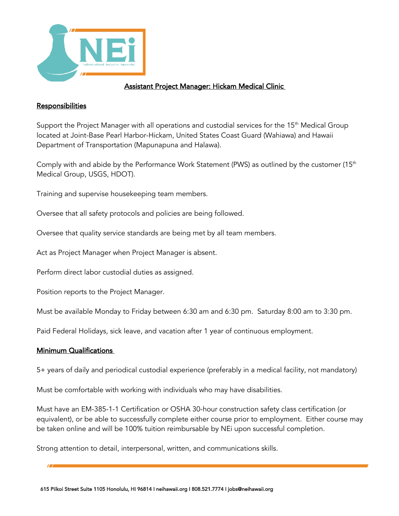

## Assistant Project Manager: Hickam Medical Clinic

## **Responsibilities**

Support the Project Manager with all operations and custodial services for the 15<sup>th</sup> Medical Group located at Joint-Base Pearl Harbor-Hickam, United States Coast Guard (Wahiawa) and Hawaii Department of Transportation (Mapunapuna and Halawa).

Comply with and abide by the Performance Work Statement (PWS) as outlined by the customer ( $15<sup>th</sup>$ Medical Group, USGS, HDOT).

Training and supervise housekeeping team members.

Oversee that all safety protocols and policies are being followed.

Oversee that quality service standards are being met by all team members.

Act as Project Manager when Project Manager is absent.

Perform direct labor custodial duties as assigned.

Position reports to the Project Manager.

Must be available Monday to Friday between 6:30 am and 6:30 pm. Saturday 8:00 am to 3:30 pm.

Paid Federal Holidays, sick leave, and vacation after 1 year of continuous employment.

## Minimum Qualifications

5+ years of daily and periodical custodial experience (preferably in a medical facility, not mandatory)

Must be comfortable with working with individuals who may have disabilities.

Must have an EM-385-1-1 Certification or OSHA 30-hour construction safety class certification (or equivalent), or be able to successfully complete either course prior to employment. Either course may be taken online and will be 100% tuition reimbursable by NEi upon successful completion.

Strong attention to detail, interpersonal, written, and communications skills.